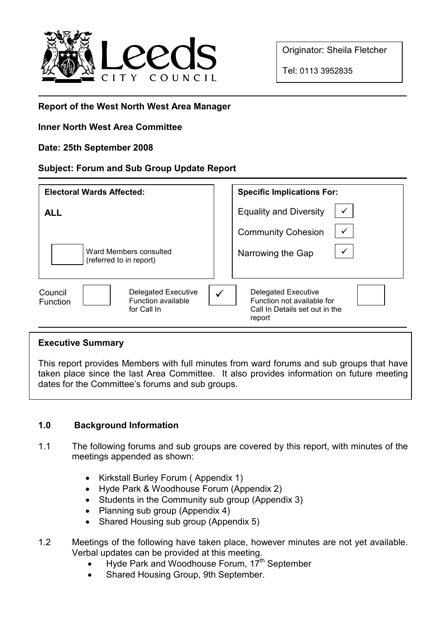

Originator: Sheila Fletcher

Tel: 0113 3952835

# Report of the West North West Area Manager

## Inner North West Area Committee

### Date: 25th September 2008

### Subject: Forum and Sub Group Update Report

| <b>Electoral Wards Affected:</b>                                                       | <b>Specific Implications For:</b>                                                                         |
|----------------------------------------------------------------------------------------|-----------------------------------------------------------------------------------------------------------|
| <b>ALL</b>                                                                             | <b>Equality and Diversity</b>                                                                             |
|                                                                                        | <b>Community Cohesion</b>                                                                                 |
| Ward Members consulted<br>(referred to in report)                                      | Narrowing the Gap                                                                                         |
| <b>Delegated Executive</b><br>Council<br>Function available<br>Function<br>for Call In | <b>Delegated Executive</b><br>✓<br>Function not available for<br>Call In Details set out in the<br>report |

### Executive Summary

This report provides Members with full minutes from ward forums and sub groups that have taken place since the last Area Committee. It also provides information on future meeting dates for the Committee's forums and sub groups.

## 1.0 Background Information

- 1.1 The following forums and sub groups are covered by this report, with minutes of the meetings appended as shown:
	- Kirkstall Burley Forum ( Appendix 1)
	- Hyde Park & Woodhouse Forum (Appendix 2)
	- Students in the Community sub group (Appendix 3)
	- Planning sub group (Appendix 4)
	- Shared Housing sub group (Appendix 5)
- 1.2 Meetings of the following have taken place, however minutes are not yet available. Verbal updates can be provided at this meeting.
	- Hyde Park and Woodhouse Forum, 17<sup>th</sup> September
	- Shared Housing Group, 9th September.